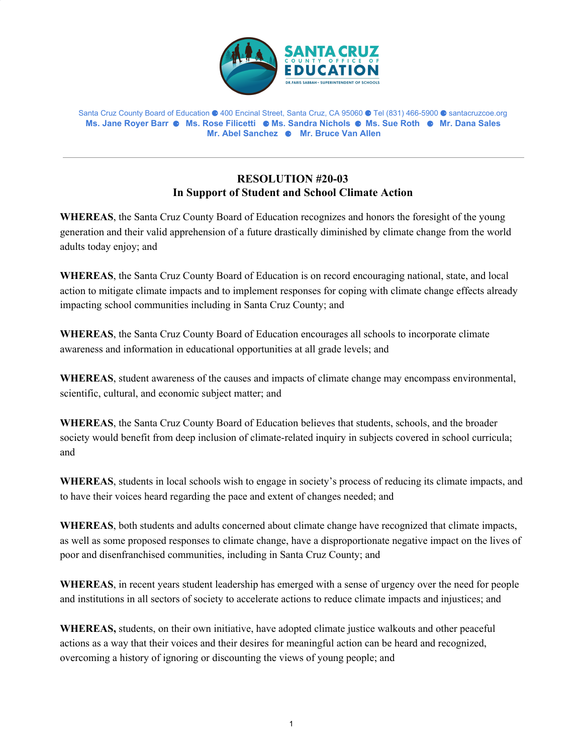

Santa Cruz County Board of Education ⚈ 400 Encinal Street, Santa Cruz, CA 95060 ⚈ Tel (831) 466-5900 ⚈ santacruzcoe.org **Ms. Jane Royer Barr** ⚈ **Ms. Rose Filicetti** ⚈ **Ms. Sandra Nichols** ⚈ **Ms. Sue Roth** ⚈ **Mr. Dana Sales Mr. Abel Sanchez** ⚈ **Mr. Bruce Van Allen**

## **RESOLUTION #20-03 In Support of Student and School Climate Action**

**WHEREAS**, the Santa Cruz County Board of Education recognizes and honors the foresight of the young generation and their valid apprehension of a future drastically diminished by climate change from the world adults today enjoy; and

**WHEREAS**, the Santa Cruz County Board of Education is on record encouraging national, state, and local action to mitigate climate impacts and to implement responses for coping with climate change effects already impacting school communities including in Santa Cruz County; and

**WHEREAS**, the Santa Cruz County Board of Education encourages all schools to incorporate climate awareness and information in educational opportunities at all grade levels; and

**WHEREAS**, student awareness of the causes and impacts of climate change may encompass environmental, scientific, cultural, and economic subject matter; and

**WHEREAS**, the Santa Cruz County Board of Education believes that students, schools, and the broader society would benefit from deep inclusion of climate-related inquiry in subjects covered in school curricula; and

**WHEREAS**, students in local schools wish to engage in society's process of reducing its climate impacts, and to have their voices heard regarding the pace and extent of changes needed; and

**WHEREAS**, both students and adults concerned about climate change have recognized that climate impacts, as well as some proposed responses to climate change, have a disproportionate negative impact on the lives of poor and disenfranchised communities, including in Santa Cruz County; and

**WHEREAS**, in recent years student leadership has emerged with a sense of urgency over the need for people and institutions in all sectors of society to accelerate actions to reduce climate impacts and injustices; and

**WHEREAS,** students, on their own initiative, have adopted climate justice walkouts and other peaceful actions as a way that their voices and their desires for meaningful action can be heard and recognized, overcoming a history of ignoring or discounting the views of young people; and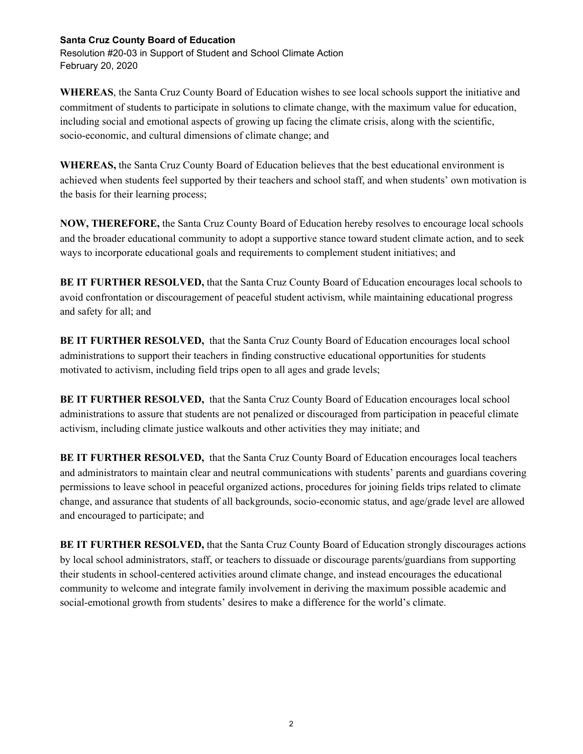## **Santa Cruz County Board of Education**

Resolution #20-03 in Support of Student and School Climate Action February 20, 2020

**WHEREAS**, the Santa Cruz County Board of Education wishes to see local schools support the initiative and commitment of students to participate in solutions to climate change, with the maximum value for education, including social and emotional aspects of growing up facing the climate crisis, along with the scientific, socio-economic, and cultural dimensions of climate change; and

**WHEREAS,** the Santa Cruz County Board of Education believes that the best educational environment is achieved when students feel supported by their teachers and school staff, and when students' own motivation is the basis for their learning process;

**NOW, THEREFORE,** the Santa Cruz County Board of Education hereby resolves to encourage local schools and the broader educational community to adopt a supportive stance toward student climate action, and to seek ways to incorporate educational goals and requirements to complement student initiatives; and

**BE IT FURTHER RESOLVED,** that the Santa Cruz County Board of Education encourages local schools to avoid confrontation or discouragement of peaceful student activism, while maintaining educational progress and safety for all; and

**BE IT FURTHER RESOLVED,** that the Santa Cruz County Board of Education encourages local school administrations to support their teachers in finding constructive educational opportunities for students motivated to activism, including field trips open to all ages and grade levels;

**BE IT FURTHER RESOLVED,** that the Santa Cruz County Board of Education encourages local school administrations to assure that students are not penalized or discouraged from participation in peaceful climate activism, including climate justice walkouts and other activities they may initiate; and

**BE IT FURTHER RESOLVED,** that the Santa Cruz County Board of Education encourages local teachers and administrators to maintain clear and neutral communications with students' parents and guardians covering permissions to leave school in peaceful organized actions, procedures for joining fields trips related to climate change, and assurance that students of all backgrounds, socio-economic status, and age/grade level are allowed and encouraged to participate; and

**BE IT FURTHER RESOLVED,** that the Santa Cruz County Board of Education strongly discourages actions by local school administrators, staff, or teachers to dissuade or discourage parents/guardians from supporting their students in school-centered activities around climate change, and instead encourages the educational community to welcome and integrate family involvement in deriving the maximum possible academic and social-emotional growth from students' desires to make a difference for the world's climate.